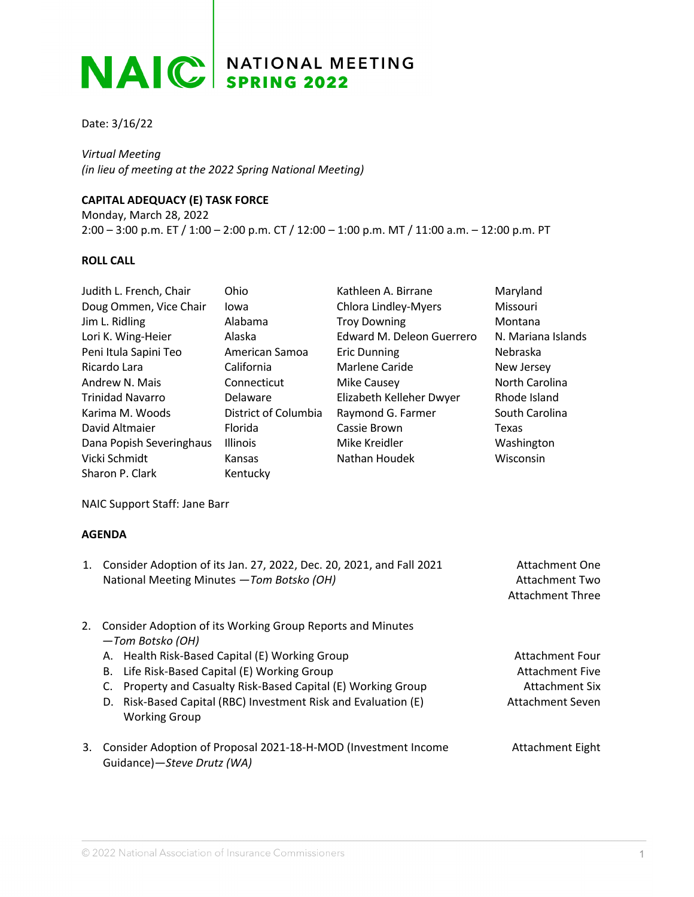## NAIC SPRING 2022

Date: 3/16/22

*Virtual Meeting (in lieu of meeting at the 2022 Spring National Meeting)*

## **CAPITAL ADEQUACY (E) TASK FORCE**

Monday, March 28, 2022 2:00 – 3:00 p.m. ET / 1:00 – 2:00 p.m. CT / 12:00 – 1:00 p.m. MT / 11:00 a.m. – 12:00 p.m. PT

## **ROLL CALL**

| Judith L. French, Chair                                                                                                                   | Ohio                                                                                                         | Kathleen A. Birrane                                            | Maryland                                                                  |
|-------------------------------------------------------------------------------------------------------------------------------------------|--------------------------------------------------------------------------------------------------------------|----------------------------------------------------------------|---------------------------------------------------------------------------|
| Doug Ommen, Vice Chair                                                                                                                    | lowa                                                                                                         | Chlora Lindley-Myers                                           | Missouri                                                                  |
| Jim L. Ridling                                                                                                                            | Alabama                                                                                                      | <b>Troy Downing</b>                                            | Montana                                                                   |
| Lori K. Wing-Heier                                                                                                                        | Alaska                                                                                                       | Edward M. Deleon Guerrero                                      | N. Mariana Islands                                                        |
| Peni Itula Sapini Teo                                                                                                                     | American Samoa                                                                                               | <b>Eric Dunning</b>                                            | Nebraska                                                                  |
| Ricardo Lara                                                                                                                              | California                                                                                                   | <b>Marlene Caride</b>                                          | New Jersey                                                                |
| Andrew N. Mais                                                                                                                            | Connecticut                                                                                                  | <b>Mike Causey</b>                                             | North Carolina                                                            |
| <b>Trinidad Navarro</b>                                                                                                                   | Delaware                                                                                                     | Elizabeth Kelleher Dwyer                                       | Rhode Island                                                              |
| Karima M. Woods                                                                                                                           | District of Columbia                                                                                         | Raymond G. Farmer                                              | South Carolina                                                            |
| David Altmaier                                                                                                                            | Florida                                                                                                      | Cassie Brown                                                   | Texas                                                                     |
| Dana Popish Severinghaus                                                                                                                  | Illinois                                                                                                     | Mike Kreidler                                                  | Washington                                                                |
| Vicki Schmidt                                                                                                                             | Kansas                                                                                                       | Nathan Houdek                                                  | Wisconsin                                                                 |
| Sharon P. Clark                                                                                                                           | Kentucky                                                                                                     |                                                                |                                                                           |
| <b>AGENDA</b><br>Consider Adoption of its Jan. 27, 2022, Dec. 20, 2021, and Fall 2021<br>1.<br>National Meeting Minutes - Tom Botsko (OH) |                                                                                                              |                                                                | <b>Attachment One</b><br><b>Attachment Two</b><br><b>Attachment Three</b> |
| 2.<br>-Tom Botsko (OH)                                                                                                                    | Consider Adoption of its Working Group Reports and Minutes<br>A. Health Risk-Based Capital (E) Working Group |                                                                |                                                                           |
| В.                                                                                                                                        | Life Risk-Based Capital (E) Working Group                                                                    | <b>Attachment Four</b><br><b>Attachment Five</b>               |                                                                           |
| C.                                                                                                                                        | Property and Casualty Risk-Based Capital (E) Working Group                                                   |                                                                | <b>Attachment Six</b>                                                     |
| D.<br><b>Working Group</b>                                                                                                                | Risk-Based Capital (RBC) Investment Risk and Evaluation (E)                                                  |                                                                | <b>Attachment Seven</b>                                                   |
| 3.<br>Guidance)-Steve Drutz (WA)                                                                                                          |                                                                                                              | Consider Adoption of Proposal 2021-18-H-MOD (Investment Income | <b>Attachment Eight</b>                                                   |
|                                                                                                                                           |                                                                                                              |                                                                |                                                                           |